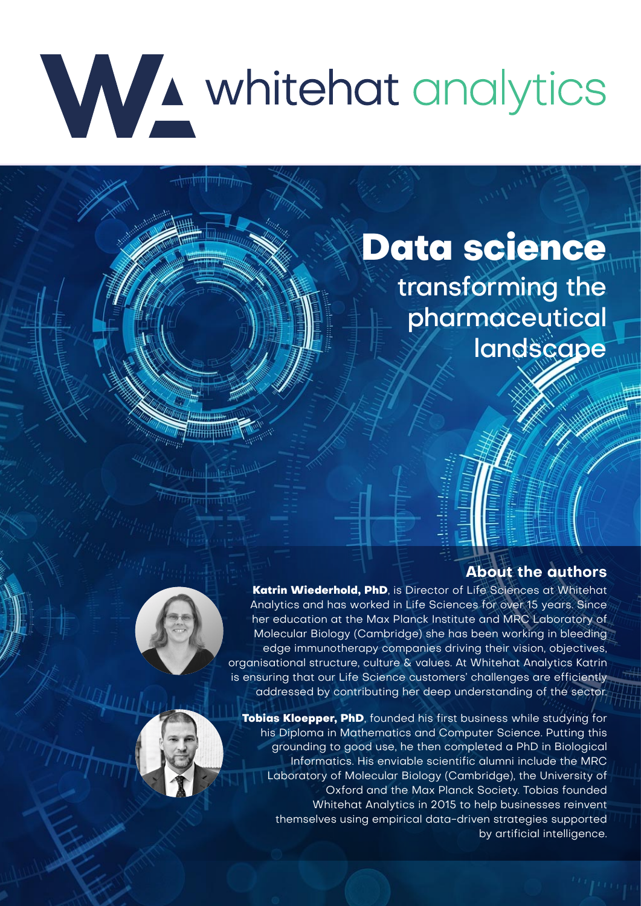# WA whitehat analytics

# **Data science**

transforming the pharmaceutical landscape

# **About the authors**





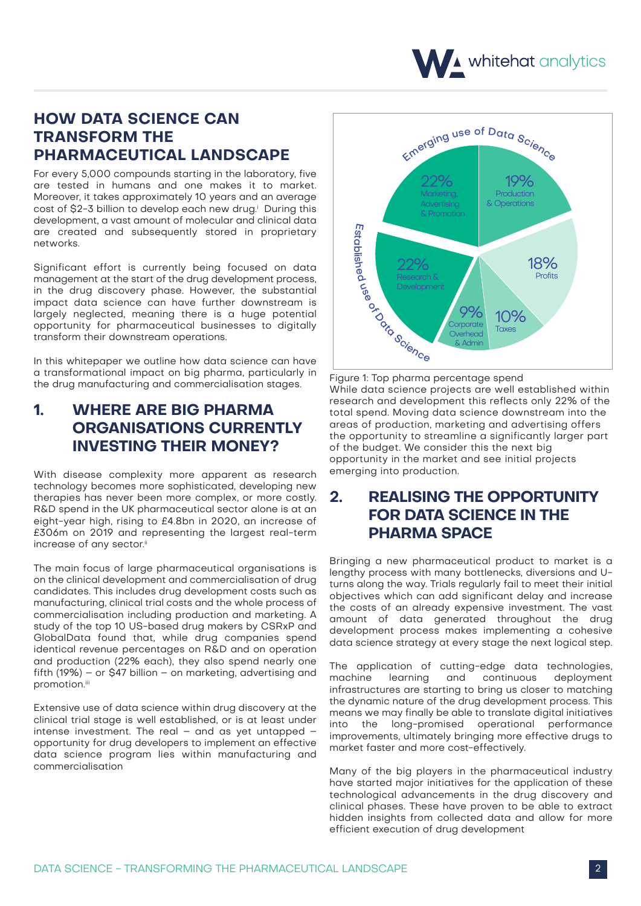

# **HOW DATA SCIENCE CAN TRANSFORM THE PHARMACEUTICAL LANDSCAPE**

For every 5,000 compounds starting in the laboratory, five are tested in humans and one makes it to market. Moreover, it takes approximately 10 years and an average cost of \$2-3 billion to develop each new drug.' During this development, a vast amount of molecular and clinical data are created and subsequently stored in proprietary networks.

Significant effort is currently being focused on data management at the start of the drug development process, in the drug discovery phase. However, the substantial impact data science can have further downstream is largely neglected, meaning there is a huge potential opportunity for pharmaceutical businesses to digitally transform their downstream operations.

In this whitepaper we outline how data science can have a transformational impact on big pharma, particularly in the drug manufacturing and commercialisation stages.

# **1. WHERE ARE BIG PHARMA ORGANISATIONS CURRENTLY INVESTING THEIR MONEY?**

With disease complexity more apparent as research technology becomes more sophisticated, developing new therapies has never been more complex, or more costly. R&D spend in the UK pharmaceutical sector alone is at an eight-year high, rising to £4.8bn in 2020, an increase of £306m on 2019 and representing the largest real-term increase of any sector.<sup>ii</sup>

The main focus of large pharmaceutical organisations is on the clinical development and commercialisation of drug candidates. This includes drug development costs such as manufacturing, clinical trial costs and the whole process of commercialisation including production and marketing. A study of the top 10 US-based drug makers by CSRxP and GlobalData found that, while drug companies spend identical revenue percentages on R&D and on operation and production (22% each), they also spend nearly one fifth (19%) – or \$47 billion – on marketing, advertising and promotion.iii

Extensive use of data science within drug discovery at the clinical trial stage is well established, or is at least under intense investment. The real – and as yet untapped – opportunity for drug developers to implement an effective data science program lies within manufacturing and commercialisation



Figure 1: Top pharma percentage spend While data science projects are well established within research and development this reflects only 22% of the total spend. Moving data science downstream into the areas of production, marketing and advertising offers the opportunity to streamline a significantly larger part of the budget. We consider this the next big opportunity in the market and see initial projects emerging into production.

# **2. REALISING THE OPPORTUNITY FOR DATA SCIENCE IN THE PHARMA SPACE**

Bringing a new pharmaceutical product to market is a lengthy process with many bottlenecks, diversions and Uturns along the way. Trials regularly fail to meet their initial objectives which can add significant delay and increase the costs of an already expensive investment. The vast amount of data generated throughout the drug development process makes implementing a cohesive data science strategy at every stage the next logical step.

The application of cutting-edge data technologies,<br>machine learning and continuous deployment deployment infrastructures are starting to bring us closer to matching the dynamic nature of the drug development process. This means we may finally be able to translate digital initiatives into the long-promised operational performance improvements, ultimately bringing more effective drugs to market faster and more cost-effectively.

Many of the big players in the pharmaceutical industry have started major initiatives for the application of these technological advancements in the drug discovery and clinical phases. These have proven to be able to extract hidden insights from collected data and allow for more efficient execution of drug development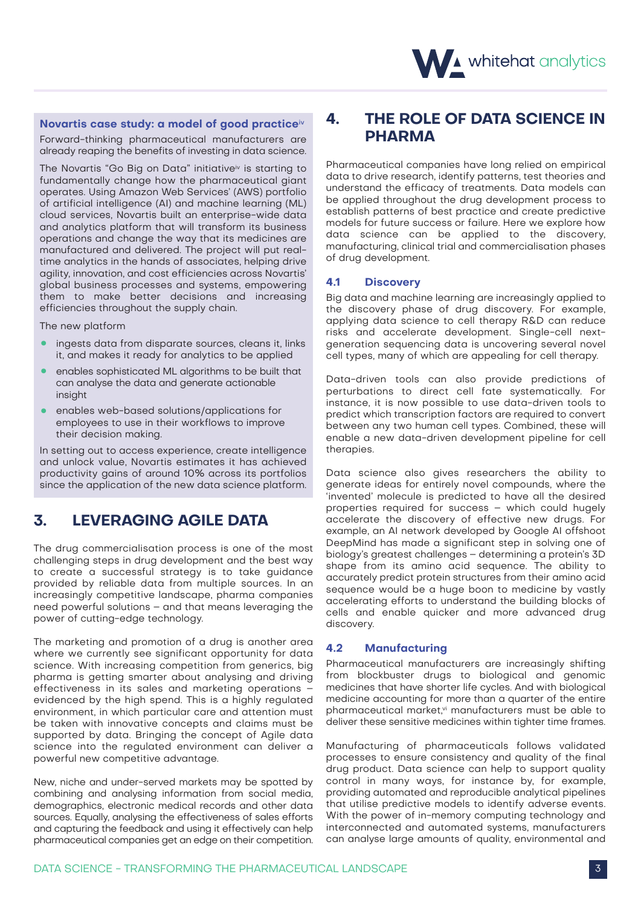#### **Novartis case study: a model of good practice**iv

Forward-thinking pharmaceutical manufacturers are already reaping the benefits of investing in data science.

The Novartis "Go Big on Data" initiative<sup>iv</sup> is starting to fundamentally change how the pharmaceutical giant operates. Using Amazon Web Services' (AWS) portfolio of artificial intelligence (AI) and machine learning (ML) cloud services, Novartis built an enterprise-wide data and analytics platform that will transform its business operations and change the way that its medicines are manufactured and delivered. The project will put realtime analytics in the hands of associates, helping drive agility, innovation, and cost efficiencies across Novartis' global business processes and systems, empowering them to make better decisions and increasing efficiencies throughout the supply chain.

The new platform

- ingests data from disparate sources, cleans it, links it, and makes it ready for analytics to be applied
- enables sophisticated ML algorithms to be built that can analyse the data and generate actionable insight
- enables web-based solutions/applications for employees to use in their workflows to improve their decision making.

In setting out to access experience, create intelligence and unlock value, Novartis estimates it has achieved productivity gains of around 10% across its portfolios since the application of the new data science platform.

## **3. LEVERAGING AGILE DATA**

The drug commercialisation process is one of the most challenging steps in drug development and the best way to create a successful strategy is to take guidance provided by reliable data from multiple sources. In an increasingly competitive landscape, pharma companies need powerful solutions – and that means leveraging the power of cutting-edge technology.

The marketing and promotion of a drug is another area where we currently see significant opportunity for data science. With increasing competition from generics, big pharma is getting smarter about analysing and driving effectiveness in its sales and marketing operations – evidenced by the high spend. This is a highly regulated environment, in which particular care and attention must be taken with innovative concepts and claims must be supported by data. Bringing the concept of Agile data science into the regulated environment can deliver a powerful new competitive advantage.

New, niche and under-served markets may be spotted by combining and analysing information from social media, demographics, electronic medical records and other data sources. Equally, analysing the effectiveness of sales efforts and capturing the feedback and using it effectively can help pharmaceutical companies get an edge on their competition.

# **4. THE ROLE OF DATA SCIENCE IN PHARMA**

Pharmaceutical companies have long relied on empirical data to drive research, identify patterns, test theories and understand the efficacy of treatments. Data models can be applied throughout the drug development process to establish patterns of best practice and create predictive models for future success or failure. Here we explore how data science can be applied to the discovery, manufacturing, clinical trial and commercialisation phases of drug development.

#### **4.1 Discovery**

Big data and machine learning are increasingly applied to the discovery phase of drug discovery. For example, applying data science to cell therapy R&D can reduce risks and accelerate development. Single-cell nextgeneration sequencing data is uncovering several novel cell types, many of which are appealing for cell therapy.

Data-driven tools can also provide predictions of perturbations to direct cell fate systematically. For instance, it is now possible to use data-driven tools to predict which transcription factors are required to convert between any two human cell types. Combined, these will enable a new data-driven development pipeline for cell therapies.

Data science also gives researchers the ability to generate ideas for entirely novel compounds, where the 'invented' molecule is predicted to have all the desired properties required for success – which could hugely accelerate the discovery of effective new drugs. For example, an AI network developed by Google AI offshoot DeepMind has made a significant step in solving one of biology's greatest challenges – determining a protein's 3D shape from its amino acid sequence. The ability to accurately predict protein structures from their amino acid sequence would be a huge boon to medicine by vastly accelerating efforts to understand the building blocks of cells and enable quicker and more advanced drug discovery.

#### **4.2 Manufacturing**

Pharmaceutical manufacturers are increasingly shifting from blockbuster drugs to biological and genomic medicines that have shorter life cycles. And with biological medicine accounting for more than a quarter of the entire pharmaceutical market,<sup>vi</sup> manufacturers must be able to deliver these sensitive medicines within tighter time frames.

Manufacturing of pharmaceuticals follows validated processes to ensure consistency and quality of the final drug product. Data science can help to support quality control in many ways, for instance by, for example, providing automated and reproducible analytical pipelines that utilise predictive models to identify adverse events. With the power of in-memory computing technology and interconnected and automated systems, manufacturers can analyse large amounts of quality, environmental and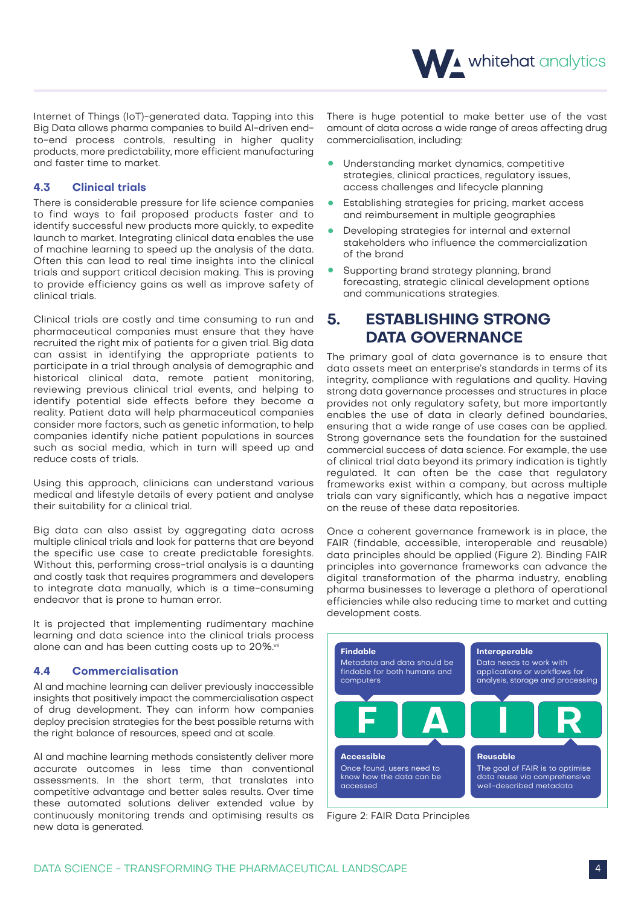

Internet of Things (IoT)-generated data. Tapping into this Big Data allows pharma companies to build AI-driven endto-end process controls, resulting in higher quality products, more predictability, more efficient manufacturing and faster time to market.

#### **4.3 Clinical trials**

There is considerable pressure for life science companies to find ways to fail proposed products faster and to identify successful new products more quickly, to expedite launch to market. Integrating clinical data enables the use of machine learning to speed up the analysis of the data. Often this can lead to real time insights into the clinical trials and support critical decision making. This is proving to provide efficiency gains as well as improve safety of clinical trials.

Clinical trials are costly and time consuming to run and pharmaceutical companies must ensure that they have recruited the right mix of patients for a given trial. Big data can assist in identifying the appropriate patients to participate in a trial through analysis of demographic and historical clinical data, remote patient monitoring, reviewing previous clinical trial events, and helping to identify potential side effects before they become a reality. Patient data will help pharmaceutical companies consider more factors, such as genetic information, to help companies identify niche patient populations in sources such as social media, which in turn will speed up and reduce costs of trials.

Using this approach, clinicians can understand various medical and lifestyle details of every patient and analyse their suitability for a clinical trial.

Big data can also assist by aggregating data across multiple clinical trials and look for patterns that are beyond the specific use case to create predictable foresights. Without this, performing cross-trial analysis is a daunting and costly task that requires programmers and developers to integrate data manually, which is a time-consuming endeavor that is prone to human error.

It is projected that implementing rudimentary machine learning and data science into the clinical trials process alone can and has been cutting costs up to 20%.vii

#### **4.4 Commercialisation**

AI and machine learning can deliver previously inaccessible insights that positively impact the commercialisation aspect of drug development. They can inform how companies deploy precision strategies for the best possible returns with the right balance of resources, speed and at scale.

AI and machine learning methods consistently deliver more accurate outcomes in less time than conventional assessments. In the short term, that translates into competitive advantage and better sales results. Over time these automated solutions deliver extended value by continuously monitoring trends and optimising results as new data is generated.

There is huge potential to make better use of the vast amount of data across a wide range of areas affecting drug commercialisation, including:

- Understanding market dynamics, competitive strategies, clinical practices, regulatory issues, access challenges and lifecycle planning
- Establishing strategies for pricing, market access<br>and reimbursement in multiple geographies
- Developing strategies for internal and external<br>• stakeholders who influence the commercialization of the brand
- Supporting brand strategy planning, brand<br>forecasting, strategic clinical development options and communications strategies.

### **5. ESTABLISHING STRONG DATA GOVERNANCE**

The primary goal of data governance is to ensure that data assets meet an enterprise's standards in terms of its integrity, compliance with regulations and quality. Having strong data governance processes and structures in place provides not only regulatory safety, but more importantly enables the use of data in clearly defined boundaries, ensuring that a wide range of use cases can be applied. Strong governance sets the foundation for the sustained commercial success of data science. For example, the use of clinical trial data beyond its primary indication is tightly regulated. It can often be the case that regulatory frameworks exist within a company, but across multiple trials can vary significantly, which has a negative impact on the reuse of these data repositories.

Once a coherent governance framework is in place, the FAIR (findable, accessible, interoperable and reusable) data principles should be applied (Figure 2). Binding FAIR principles into governance frameworks can advance the digital transformation of the pharma industry, enabling pharma businesses to leverage a plethora of operational efficiencies while also reducing time to market and cutting development costs.



Figure 2: FAIR Data Principles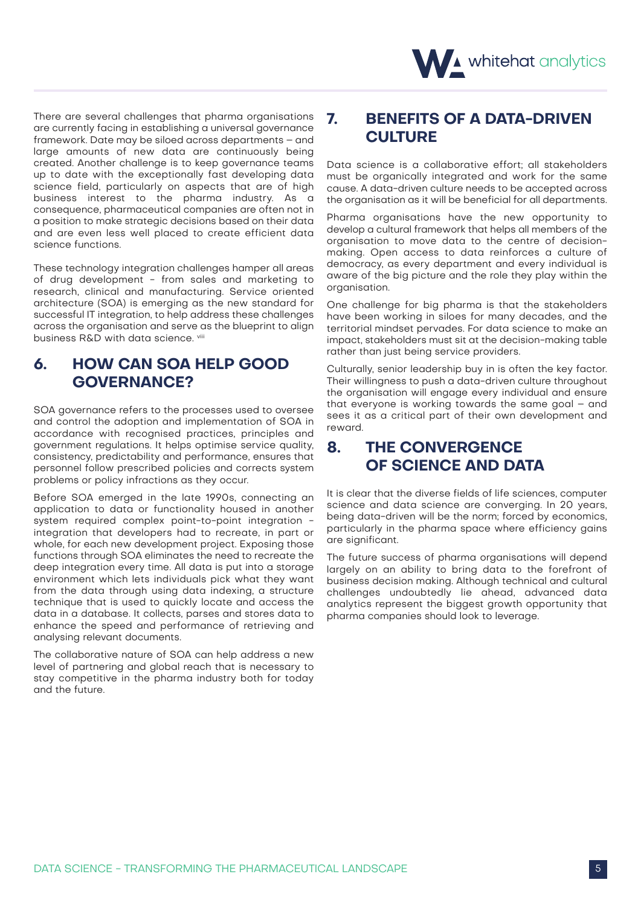

There are several challenges that pharma organisations are currently facing in establishing a universal governance framework. Date may be siloed across departments – and large amounts of new data are continuously being created. Another challenge is to keep governance teams up to date with the exceptionally fast developing data science field, particularly on aspects that are of high business interest to the pharma industry. As a consequence, pharmaceutical companies are often not in a position to make strategic decisions based on their data and are even less well placed to create efficient data science functions.

These technology integration challenges hamper all areas of drug development - from sales and marketing to research, clinical and manufacturing. Service oriented architecture (SOA) is emerging as the new standard for successful IT integration, to help address these challenges across the organisation and serve as the blueprint to align business R&D with data science. Vili

# **6. HOW CAN SOA HELP GOOD GOVERNANCE?**

SOA governance refers to the processes used to oversee and control the adoption and implementation of SOA in accordance with recognised practices, principles and government regulations. It helps optimise service quality, consistency, predictability and performance, ensures that personnel follow prescribed policies and corrects system problems or policy infractions as they occur.

Before SOA emerged in the late 1990s, connecting an application to data or functionality housed in another system required complex point-to-point integration integration that developers had to recreate, in part or whole, for each new development project. Exposing those functions through SOA eliminates the need to recreate the deep integration every time. All data is put into a storage environment which lets individuals pick what they want from the data through using data indexing, a structure technique that is used to quickly locate and access the data in a database. It collects, parses and stores data to enhance the speed and performance of retrieving and analysing relevant documents.

The collaborative nature of SOA can help address a new level of partnering and global reach that is necessary to stay competitive in the pharma industry both for today and the future.

# **7. BENEFITS OF A DATA-DRIVEN CULTURE**

Data science is a collaborative effort; all stakeholders must be organically integrated and work for the same cause. A data-driven culture needs to be accepted across the organisation as it will be beneficial for all departments.

Pharma organisations have the new opportunity to develop a cultural framework that helps all members of the organisation to move data to the centre of decisionmaking. Open access to data reinforces a culture of democracy, as every department and every individual is aware of the big picture and the role they play within the organisation.

One challenge for big pharma is that the stakeholders have been working in siloes for many decades, and the territorial mindset pervades. For data science to make an impact, stakeholders must sit at the decision-making table rather than just being service providers.

Culturally, senior leadership buy in is often the key factor. Their willingness to push a data-driven culture throughout the organisation will engage every individual and ensure that everyone is working towards the same goal – and sees it as a critical part of their own development and reward.

# **8. THE CONVERGENCE OF SCIENCE AND DATA**

It is clear that the diverse fields of life sciences, computer science and data science are converging. In 20 years, being data-driven will be the norm; forced by economics, particularly in the pharma space where efficiency gains are significant.

The future success of pharma organisations will depend largely on an ability to bring data to the forefront of business decision making. Although technical and cultural challenges undoubtedly lie ahead, advanced data analytics represent the biggest growth opportunity that pharma companies should look to leverage.